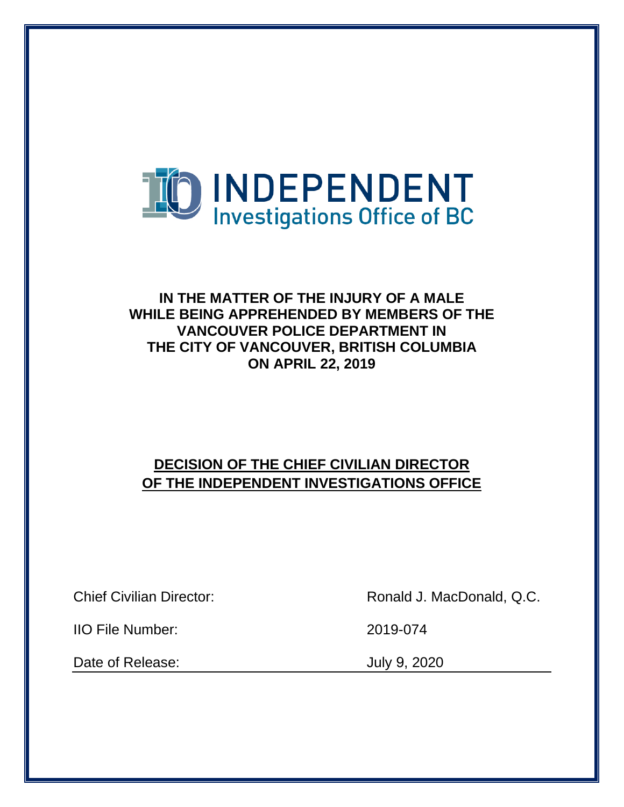

### **IN THE MATTER OF THE INJURY OF A MALE WHILE BEING APPREHENDED BY MEMBERS OF THE VANCOUVER POLICE DEPARTMENT IN THE CITY OF VANCOUVER, BRITISH COLUMBIA ON APRIL 22, 2019**

# **DECISION OF THE CHIEF CIVILIAN DIRECTOR OF THE INDEPENDENT INVESTIGATIONS OFFICE**

Chief Civilian Director:

Ronald J. MacDonald, Q.C.

IIO File Number:

Date of Release:

2019-074

July 9, 2020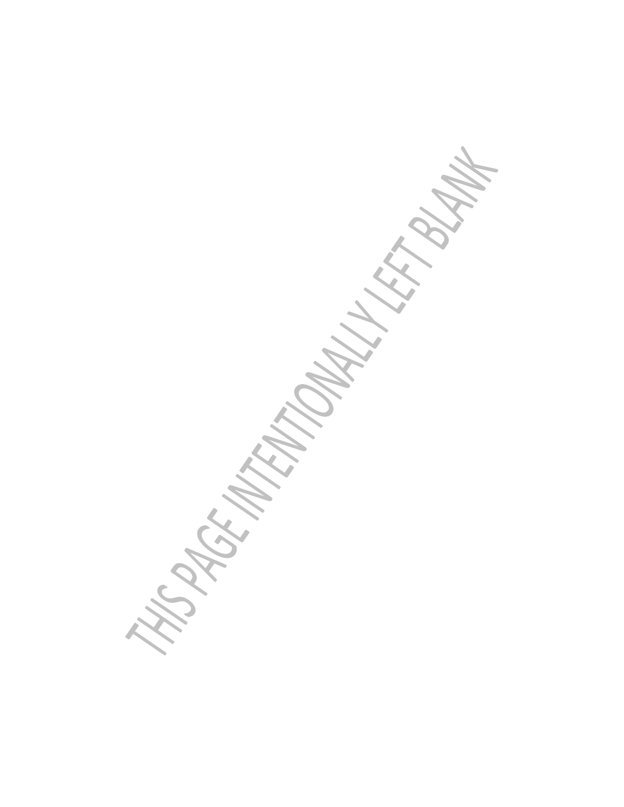THIS PARTY TO MALLY AS TO BLANK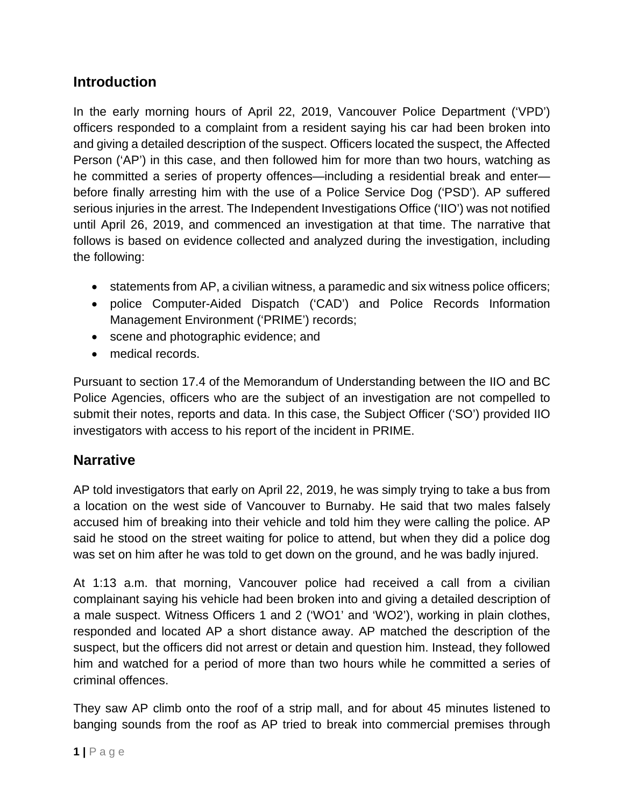### **Introduction**

In the early morning hours of April 22, 2019, Vancouver Police Department ('VPD') officers responded to a complaint from a resident saying his car had been broken into and giving a detailed description of the suspect. Officers located the suspect, the Affected Person ('AP') in this case, and then followed him for more than two hours, watching as he committed a series of property offences—including a residential break and enter before finally arresting him with the use of a Police Service Dog ('PSD'). AP suffered serious injuries in the arrest. The Independent Investigations Office ('IIO') was not notified until April 26, 2019, and commenced an investigation at that time. The narrative that follows is based on evidence collected and analyzed during the investigation, including the following:

- statements from AP, a civilian witness, a paramedic and six witness police officers;
- police Computer-Aided Dispatch ('CAD') and Police Records Information Management Environment ('PRIME') records;
- scene and photographic evidence; and
- medical records.

Pursuant to section 17.4 of the Memorandum of Understanding between the IIO and BC Police Agencies, officers who are the subject of an investigation are not compelled to submit their notes, reports and data. In this case, the Subject Officer ('SO') provided IIO investigators with access to his report of the incident in PRIME.

#### **Narrative**

AP told investigators that early on April 22, 2019, he was simply trying to take a bus from a location on the west side of Vancouver to Burnaby. He said that two males falsely accused him of breaking into their vehicle and told him they were calling the police. AP said he stood on the street waiting for police to attend, but when they did a police dog was set on him after he was told to get down on the ground, and he was badly injured.

At 1:13 a.m. that morning, Vancouver police had received a call from a civilian complainant saying his vehicle had been broken into and giving a detailed description of a male suspect. Witness Officers 1 and 2 ('WO1' and 'WO2'), working in plain clothes, responded and located AP a short distance away. AP matched the description of the suspect, but the officers did not arrest or detain and question him. Instead, they followed him and watched for a period of more than two hours while he committed a series of criminal offences.

They saw AP climb onto the roof of a strip mall, and for about 45 minutes listened to banging sounds from the roof as AP tried to break into commercial premises through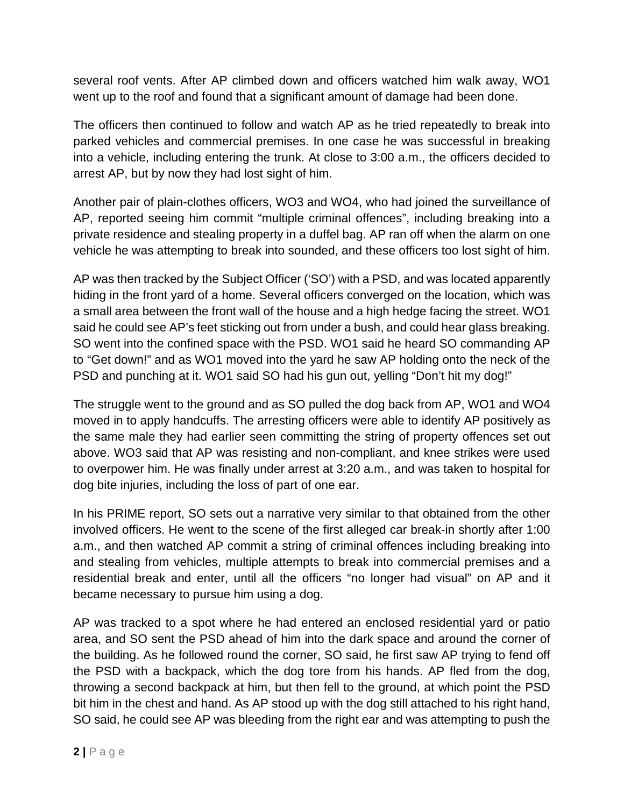several roof vents. After AP climbed down and officers watched him walk away, WO1 went up to the roof and found that a significant amount of damage had been done.

The officers then continued to follow and watch AP as he tried repeatedly to break into parked vehicles and commercial premises. In one case he was successful in breaking into a vehicle, including entering the trunk. At close to 3:00 a.m., the officers decided to arrest AP, but by now they had lost sight of him.

Another pair of plain-clothes officers, WO3 and WO4, who had joined the surveillance of AP, reported seeing him commit "multiple criminal offences", including breaking into a private residence and stealing property in a duffel bag. AP ran off when the alarm on one vehicle he was attempting to break into sounded, and these officers too lost sight of him.

AP was then tracked by the Subject Officer ('SO') with a PSD, and was located apparently hiding in the front yard of a home. Several officers converged on the location, which was a small area between the front wall of the house and a high hedge facing the street. WO1 said he could see AP's feet sticking out from under a bush, and could hear glass breaking. SO went into the confined space with the PSD. WO1 said he heard SO commanding AP to "Get down!" and as WO1 moved into the yard he saw AP holding onto the neck of the PSD and punching at it. WO1 said SO had his gun out, yelling "Don't hit my dog!"

The struggle went to the ground and as SO pulled the dog back from AP, WO1 and WO4 moved in to apply handcuffs. The arresting officers were able to identify AP positively as the same male they had earlier seen committing the string of property offences set out above. WO3 said that AP was resisting and non-compliant, and knee strikes were used to overpower him. He was finally under arrest at 3:20 a.m., and was taken to hospital for dog bite injuries, including the loss of part of one ear.

In his PRIME report, SO sets out a narrative very similar to that obtained from the other involved officers. He went to the scene of the first alleged car break-in shortly after 1:00 a.m., and then watched AP commit a string of criminal offences including breaking into and stealing from vehicles, multiple attempts to break into commercial premises and a residential break and enter, until all the officers "no longer had visual" on AP and it became necessary to pursue him using a dog.

AP was tracked to a spot where he had entered an enclosed residential yard or patio area, and SO sent the PSD ahead of him into the dark space and around the corner of the building. As he followed round the corner, SO said, he first saw AP trying to fend off the PSD with a backpack, which the dog tore from his hands. AP fled from the dog, throwing a second backpack at him, but then fell to the ground, at which point the PSD bit him in the chest and hand. As AP stood up with the dog still attached to his right hand, SO said, he could see AP was bleeding from the right ear and was attempting to push the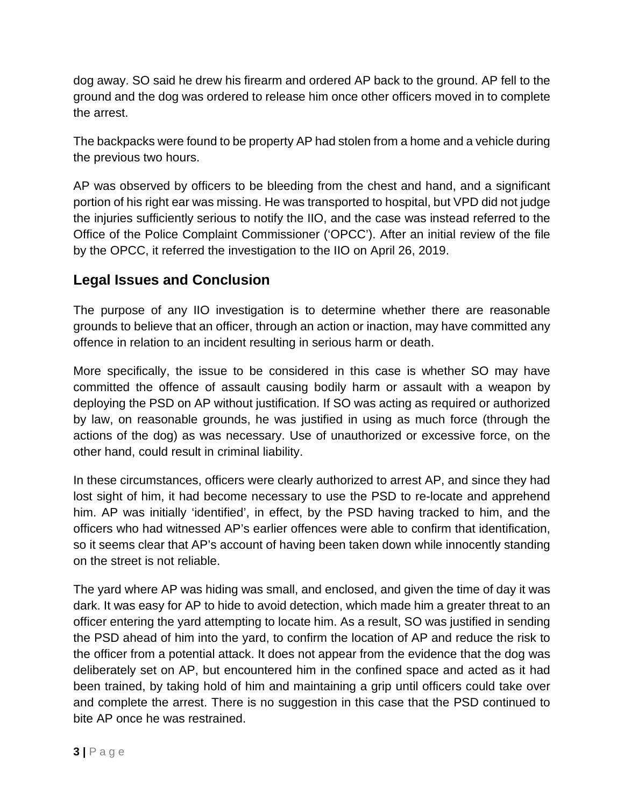dog away. SO said he drew his firearm and ordered AP back to the ground. AP fell to the ground and the dog was ordered to release him once other officers moved in to complete the arrest.

The backpacks were found to be property AP had stolen from a home and a vehicle during the previous two hours.

AP was observed by officers to be bleeding from the chest and hand, and a significant portion of his right ear was missing. He was transported to hospital, but VPD did not judge the injuries sufficiently serious to notify the IIO, and the case was instead referred to the Office of the Police Complaint Commissioner ('OPCC'). After an initial review of the file by the OPCC, it referred the investigation to the IIO on April 26, 2019.

## **Legal Issues and Conclusion**

The purpose of any IIO investigation is to determine whether there are reasonable grounds to believe that an officer, through an action or inaction, may have committed any offence in relation to an incident resulting in serious harm or death.

More specifically, the issue to be considered in this case is whether SO may have committed the offence of assault causing bodily harm or assault with a weapon by deploying the PSD on AP without justification. If SO was acting as required or authorized by law, on reasonable grounds, he was justified in using as much force (through the actions of the dog) as was necessary. Use of unauthorized or excessive force, on the other hand, could result in criminal liability.

In these circumstances, officers were clearly authorized to arrest AP, and since they had lost sight of him, it had become necessary to use the PSD to re-locate and apprehend him. AP was initially 'identified', in effect, by the PSD having tracked to him, and the officers who had witnessed AP's earlier offences were able to confirm that identification, so it seems clear that AP's account of having been taken down while innocently standing on the street is not reliable.

The yard where AP was hiding was small, and enclosed, and given the time of day it was dark. It was easy for AP to hide to avoid detection, which made him a greater threat to an officer entering the yard attempting to locate him. As a result, SO was justified in sending the PSD ahead of him into the yard, to confirm the location of AP and reduce the risk to the officer from a potential attack. It does not appear from the evidence that the dog was deliberately set on AP, but encountered him in the confined space and acted as it had been trained, by taking hold of him and maintaining a grip until officers could take over and complete the arrest. There is no suggestion in this case that the PSD continued to bite AP once he was restrained.